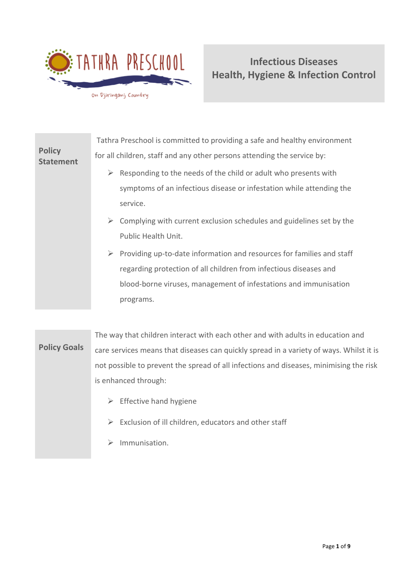

|                                   | Tathra Preschool is committed to providing a safe and healthy environment              |
|-----------------------------------|----------------------------------------------------------------------------------------|
| <b>Policy</b><br><b>Statement</b> | for all children, staff and any other persons attending the service by:                |
|                                   | Responding to the needs of the child or adult who presents with                        |
|                                   | symptoms of an infectious disease or infestation while attending the                   |
|                                   | service.                                                                               |
|                                   | Complying with current exclusion schedules and guidelines set by the<br>➤              |
|                                   | Public Health Unit.                                                                    |
|                                   | $\triangleright$ Providing up-to-date information and resources for families and staff |
|                                   | regarding protection of all children from infectious diseases and                      |
|                                   | blood-borne viruses, management of infestations and immunisation                       |
|                                   | programs.                                                                              |
|                                   |                                                                                        |

**Policy Goals** The way that children interact with each other and with adults in education and care services means that diseases can quickly spread in a variety of ways. Whilst it is not possible to prevent the spread of all infections and diseases, minimising the risk is enhanced through:

- $\triangleright$  Effective hand hygiene
- ➢ Exclusion of ill children, educators and other staff
- ➢ Immunisation.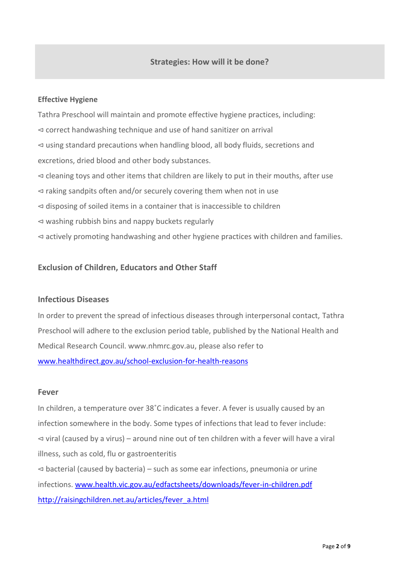### **Effective Hygiene**

Tathra Preschool will maintain and promote effective hygiene practices, including: ⊲ correct handwashing technique and use of hand sanitizer on arrival ⊲ using standard precautions when handling blood, all body fluids, secretions and excretions, dried blood and other body substances. ⊲ cleaning toys and other items that children are likely to put in their mouths, after use ⊲ raking sandpits often and/or securely covering them when not in use ⊲ disposing of soiled items in a container that is inaccessible to children ⊲ washing rubbish bins and nappy buckets regularly ⊲ actively promoting handwashing and other hygiene practices with children and families.

## **Exclusion of Children, Educators and Other Staff**

## **Infectious Diseases**

In order to prevent the spread of infectious diseases through interpersonal contact, Tathra Preschool will adhere to the exclusion period table, published by the National Health and Medical Research Council. www.nhmrc.gov.au, please also refer to [www.healthdirect.gov.au/school-exclusion-for-health-reasons](http://www.healthdirect.gov.au/school-exclusion-for-health-reasons)

### **Fever**

In children, a temperature over 38˚C indicates a fever. A fever is usually caused by an infection somewhere in the body. Some types of infections that lead to fever include: ⊲ viral (caused by a virus) – around nine out of ten children with a fever will have a viral illness, such as cold, flu or gastroenteritis ⊲ bacterial (caused by bacteria) – such as some ear infections, pneumonia or urine infections. [www.health.vic.gov.au/edfactsheets/downloads/fever-in-children.pdf](http://www.health.vic.gov.au/edfactsheets/downloads/fever-in-children.pdf) [http://raisingchildren.net.au/articles/fever\\_a.html](http://raisingchildren.net.au/articles/fever_a.html)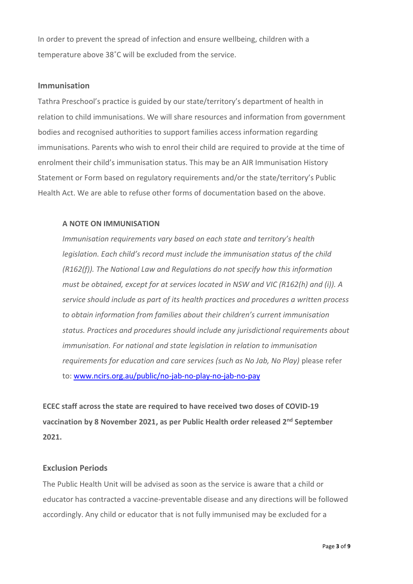In order to prevent the spread of infection and ensure wellbeing, children with a temperature above 38˚C will be excluded from the service.

#### **Immunisation**

Tathra Preschool's practice is guided by our state/territory's department of health in relation to child immunisations. We will share resources and information from government bodies and recognised authorities to support families access information regarding immunisations. Parents who wish to enrol their child are required to provide at the time of enrolment their child's immunisation status. This may be an AIR Immunisation History Statement or Form based on regulatory requirements and/or the state/territory's Public Health Act. We are able to refuse other forms of documentation based on the above.

### **A NOTE ON IMMUNISATION**

*Immunisation requirements vary based on each state and territory's health legislation. Each child's record must include the immunisation status of the child (R162(f)). The National Law and Regulations do not specify how this information must be obtained, except for at services located in NSW and VIC (R162(h) and (i)). A service should include as part of its health practices and procedures a written process to obtain information from families about their children's current immunisation status. Practices and procedures should include any jurisdictional requirements about immunisation. For national and state legislation in relation to immunisation requirements for education and care services (such as No Jab, No Play)* please refer to: [www.ncirs.org.au/public/no-jab-no-play-no-jab-no-pay](http://www.ncirs.org.au/public/no-jab-no-play-no-jab-no-pay)

**ECEC staff across the state are required to have received two doses of COVID-19 vaccination by 8 November 2021, as per Public Health order released 2nd September 2021.**

### **Exclusion Periods**

The Public Health Unit will be advised as soon as the service is aware that a child or educator has contracted a vaccine-preventable disease and any directions will be followed accordingly. Any child or educator that is not fully immunised may be excluded for a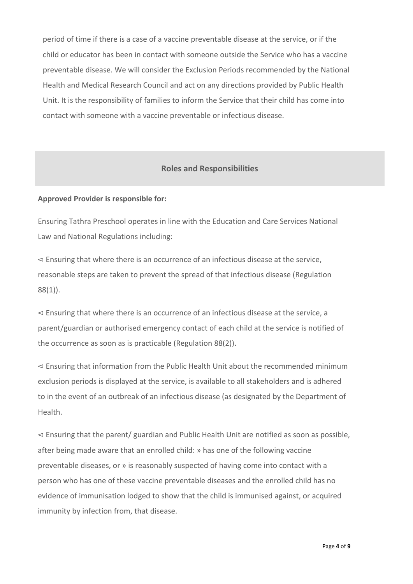period of time if there is a case of a vaccine preventable disease at the service, or if the child or educator has been in contact with someone outside the Service who has a vaccine preventable disease. We will consider the Exclusion Periods recommended by the National Health and Medical Research Council and act on any directions provided by Public Health Unit. It is the responsibility of families to inform the Service that their child has come into contact with someone with a vaccine preventable or infectious disease.

### **Roles and Responsibilities**

#### **Approved Provider is responsible for:**

Ensuring Tathra Preschool operates in line with the Education and Care Services National Law and National Regulations including:

⊲ Ensuring that where there is an occurrence of an infectious disease at the service, reasonable steps are taken to prevent the spread of that infectious disease (Regulation 88(1)).

⊲ Ensuring that where there is an occurrence of an infectious disease at the service, a parent/guardian or authorised emergency contact of each child at the service is notified of the occurrence as soon as is practicable (Regulation 88(2)).

⊲ Ensuring that information from the Public Health Unit about the recommended minimum exclusion periods is displayed at the service, is available to all stakeholders and is adhered to in the event of an outbreak of an infectious disease (as designated by the Department of Health.

⊲ Ensuring that the parent/ guardian and Public Health Unit are notified as soon as possible, after being made aware that an enrolled child: » has one of the following vaccine preventable diseases, or » is reasonably suspected of having come into contact with a person who has one of these vaccine preventable diseases and the enrolled child has no evidence of immunisation lodged to show that the child is immunised against, or acquired immunity by infection from, that disease.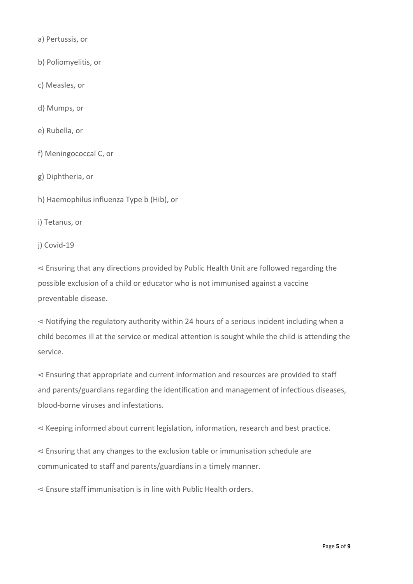a) Pertussis, or

b) Poliomyelitis, or

c) Measles, or

d) Mumps, or

e) Rubella, or

f) Meningococcal C, or

g) Diphtheria, or

h) Haemophilus influenza Type b (Hib), or

i) Tetanus, or

j) Covid-19

⊲ Ensuring that any directions provided by Public Health Unit are followed regarding the possible exclusion of a child or educator who is not immunised against a vaccine preventable disease.

⊲ Notifying the regulatory authority within 24 hours of a serious incident including when a child becomes ill at the service or medical attention is sought while the child is attending the service.

⊲ Ensuring that appropriate and current information and resources are provided to staff and parents/guardians regarding the identification and management of infectious diseases, blood-borne viruses and infestations.

⊲ Keeping informed about current legislation, information, research and best practice.

⊲ Ensuring that any changes to the exclusion table or immunisation schedule are communicated to staff and parents/guardians in a timely manner.

⊲ Ensure staff immunisation is in line with Public Health orders.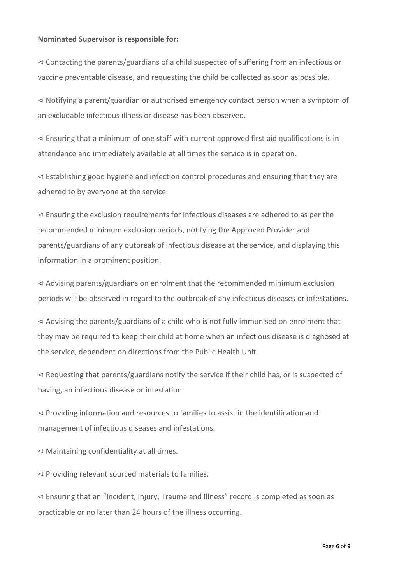#### **Nominated Supervisor is responsible for:**

⊲ Contacting the parents/guardians of a child suspected of suffering from an infectious or vaccine preventable disease, and requesting the child be collected as soon as possible.

⊲ Notifying a parent/guardian or authorised emergency contact person when a symptom of an excludable infectious illness or disease has been observed.

⊲ Ensuring that a minimum of one staff with current approved first aid qualifications is in attendance and immediately available at all times the service is in operation.

⊲ Establishing good hygiene and infection control procedures and ensuring that they are adhered to by everyone at the service.

⊲ Ensuring the exclusion requirements for infectious diseases are adhered to as per the recommended minimum exclusion periods, notifying the Approved Provider and parents/guardians of any outbreak of infectious disease at the service, and displaying this information in a prominent position.

⊲ Advising parents/guardians on enrolment that the recommended minimum exclusion periods will be observed in regard to the outbreak of any infectious diseases or infestations.

⊲ Advising the parents/guardians of a child who is not fully immunised on enrolment that they may be required to keep their child at home when an infectious disease is diagnosed at the service, dependent on directions from the Public Health Unit.

⊲ Requesting that parents/guardians notify the service if their child has, or is suspected of having, an infectious disease or infestation.

⊲ Providing information and resources to families to assist in the identification and management of infectious diseases and infestations.

⊲ Maintaining confidentiality at all times.

⊲ Providing relevant sourced materials to families.

⊲ Ensuring that an "Incident, Injury, Trauma and Illness" record is completed as soon as practicable or no later than 24 hours of the illness occurring.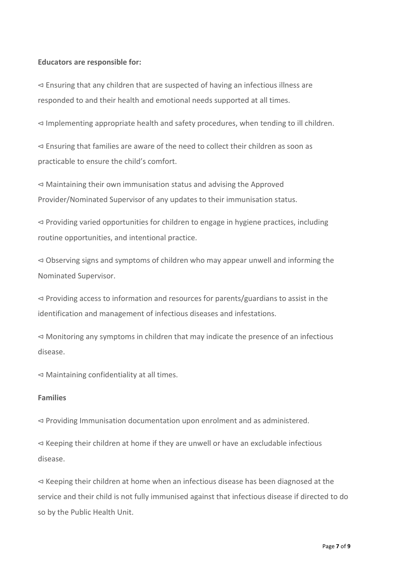#### **Educators are responsible for:**

⊲ Ensuring that any children that are suspected of having an infectious illness are responded to and their health and emotional needs supported at all times.

⊲ Implementing appropriate health and safety procedures, when tending to ill children.

⊲ Ensuring that families are aware of the need to collect their children as soon as practicable to ensure the child's comfort.

⊲ Maintaining their own immunisation status and advising the Approved Provider/Nominated Supervisor of any updates to their immunisation status.

⊲ Providing varied opportunities for children to engage in hygiene practices, including routine opportunities, and intentional practice.

⊲ Observing signs and symptoms of children who may appear unwell and informing the Nominated Supervisor.

⊲ Providing access to information and resources for parents/guardians to assist in the identification and management of infectious diseases and infestations.

⊲ Monitoring any symptoms in children that may indicate the presence of an infectious disease.

⊲ Maintaining confidentiality at all times.

### **Families**

⊲ Providing Immunisation documentation upon enrolment and as administered.

⊲ Keeping their children at home if they are unwell or have an excludable infectious disease.

⊲ Keeping their children at home when an infectious disease has been diagnosed at the service and their child is not fully immunised against that infectious disease if directed to do so by the Public Health Unit.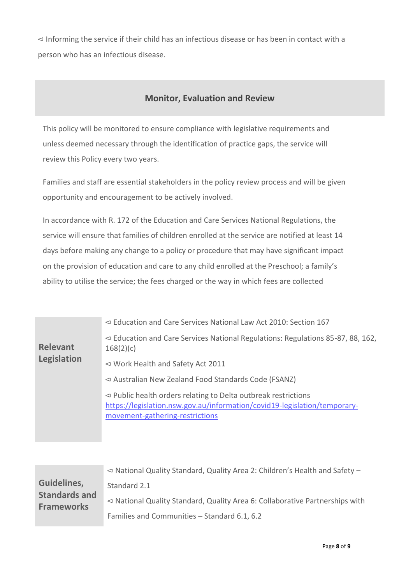⊲ Informing the service if their child has an infectious disease or has been in contact with a person who has an infectious disease.

# **Monitor, Evaluation and Review**

This policy will be monitored to ensure compliance with legislative requirements and unless deemed necessary through the identification of practice gaps, the service will review this Policy every two years.

Families and staff are essential stakeholders in the policy review process and will be given opportunity and encouragement to be actively involved.

In accordance with R. 172 of the Education and Care Services National Regulations, the service will ensure that families of children enrolled at the service are notified at least 14 days before making any change to a policy or procedure that may have significant impact on the provision of education and care to any child enrolled at the Preschool; a family's ability to utilise the service; the fees charged or the way in which fees are collected

| <b>Relevant</b><br>Legislation | $\leq$ Education and Care Services National Law Act 2010: Section 167                                                                                                               |
|--------------------------------|-------------------------------------------------------------------------------------------------------------------------------------------------------------------------------------|
|                                | $\leq$ Education and Care Services National Regulations: Regulations 85-87, 88, 162,<br>168(2)(c)                                                                                   |
|                                | $\leq$ Work Health and Safety Act 2011                                                                                                                                              |
|                                | $\triangleleft$ Australian New Zealand Food Standards Code (FSANZ)                                                                                                                  |
|                                | $\leq$ Public health orders relating to Delta outbreak restrictions<br>https://legislation.nsw.gov.au/information/covid19-legislation/temporary-<br>movement-gathering-restrictions |

|                                                          | $\leq$ National Quality Standard, Quality Area 2: Children's Health and Safety -           |
|----------------------------------------------------------|--------------------------------------------------------------------------------------------|
| Guidelines,<br><b>Standards and</b><br><b>Frameworks</b> | Standard 2.1                                                                               |
|                                                          | $\triangleleft$ National Quality Standard, Quality Area 6: Collaborative Partnerships with |
|                                                          | Families and Communities - Standard 6.1, 6.2                                               |